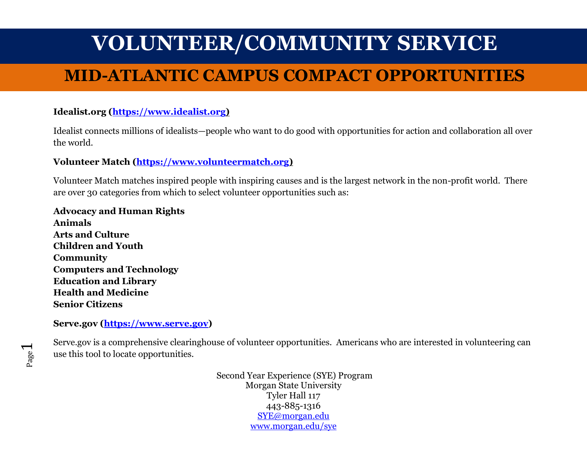## **MID-ATLANTIC CAMPUS COMPACT OPPORTUNITIES**

### $\bf{Idealist.org}$   $(\underline{\bf https://www.idealist.org})$

Idealist connects millions of idealists—people who want to do good with opportunities for action and collaboration all over the world.

#### **Volunteer Match [\(https://www.volunteermatch.org\)](https://www.volunteermatch.org/)**

Volunteer Match matches inspired people with inspiring causes and is the largest network in the non-profit world. There are over 30 categories from which to select volunteer opportunities such as:

**Advocacy and Human Rights Animals Arts and Culture Children and Youth Community Computers and Technology Education and Library Health and Medicine Senior Citizens**

**Serve.gov [\(https://www.serve.gov\)](https://www.serve.gov/)**

Serve.gov is a comprehensive clearinghouse of volunteer opportunities. Americans who are interested in volunteering can use this tool to locate opportunities.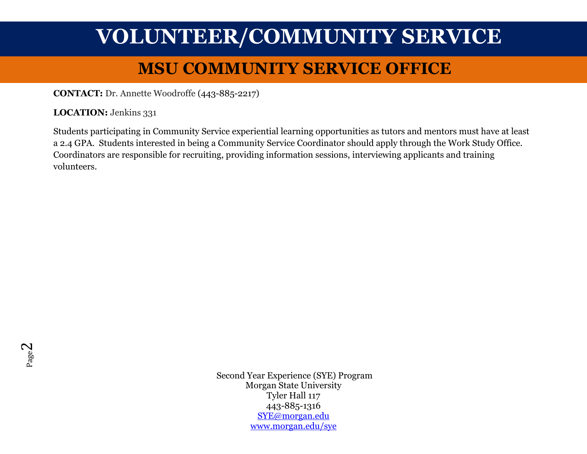# **MSU COMMUNITY SERVICE OFFICE VOLUNTEER/COMMUNITY SERVICE**

**CONTACT:** Dr. Annette Woodroffe (443-885-2217)

LOCATION: Jenkins 331

Students participating in Community Service experiential learning opportunities as tutors and mentors must have at least a 2.4 GPA. Students interested in being a Community Service Coordinator should apply through the Work Study Office. Coordinators are responsible for recruiting, providing information sessions, interviewing applicants and training volunteers.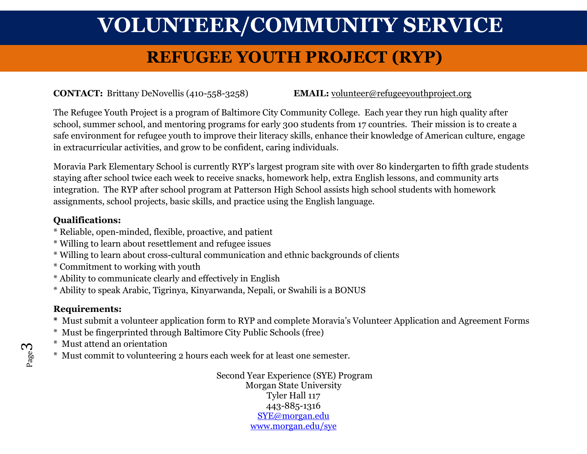## **REFUGEE YOUTH PROJECT (RYP)**

**CONTACT:** Brittany DeNovellis (410-558-3258) **EMAIL:** [volunteer@refugeeyouthproject.org](mailto:volunteer@refugeeyouthproject.org)

The Refugee Youth Project is a program of Baltimore City Community College. Each year they run high quality after school, summer school, and mentoring programs for early 300 students from 17 countries. Their mission is to create a safe environment for refugee youth to improve their literacy skills, enhance their knowledge of American culture, engage in extracurricular activities, and grow to be confident, caring individuals.

Moravia Park Elementary School is currently RYP's largest program site with over 80 kindergarten to fifth grade students staying after school twice each week to receive snacks, homework help, extra English lessons, and community arts integration. The RYP after school program at Patterson High School assists high school students with homework assignments, school projects, basic skills, and practice using the English language.

#### **Qualifications:**

- \* Reliable, open-minded, flexible, proactive, and patient
- \* Willing to learn about resettlement and refugee issues
- \* Willing to learn about cross-cultural communication and ethnic backgrounds of clients
- \* Commitment to working with youth
- \* Ability to communicate clearly and effectively in English
- \* Ability to speak Arabic, Tigrinya, Kinyarwanda, Nepali, or Swahili is a BONUS

#### **Requirements:**

- **\*** Must submit a volunteer application form to RYP and complete Moravia's Volunteer Application and Agreement Forms
- \* Must be fingerprinted through Baltimore City Public Schools (free)
- \* Must attend an orientation
- \* Must commit to volunteering 2 hours each week for at least one semester.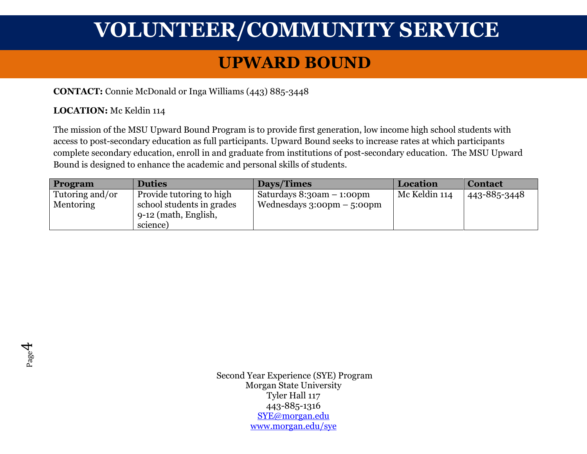### **UPWARD BOUND**

**CONTACT:** Connie McDonald or Inga Williams (443) 885-3448

#### **LOCATION:** Mc Keldin 114

The mission of the MSU Upward Bound Program is to provide first generation, low income high school students with access to post-secondary education as full participants. Upward Bound seeks to increase rates at which participants complete secondary education, enroll in and graduate from institutions of post-secondary education. The MSU Upward Bound is designed to enhance the academic and personal skills of students.

| <b>Program</b>  | <b>Duties</b>             | Days/Times                                   | Location      | <b>Contact</b> |
|-----------------|---------------------------|----------------------------------------------|---------------|----------------|
| Tutoring and/or | Provide tutoring to high  | Saturdays 8:30am – 1:00pm                    | Mc Keldin 114 | 443-885-3448   |
| Mentoring       | school students in grades | Wednesdays $3:00 \text{pm} - 5:00 \text{pm}$ |               |                |
|                 | 9-12 (math, English,      |                                              |               |                |
|                 | science)                  |                                              |               |                |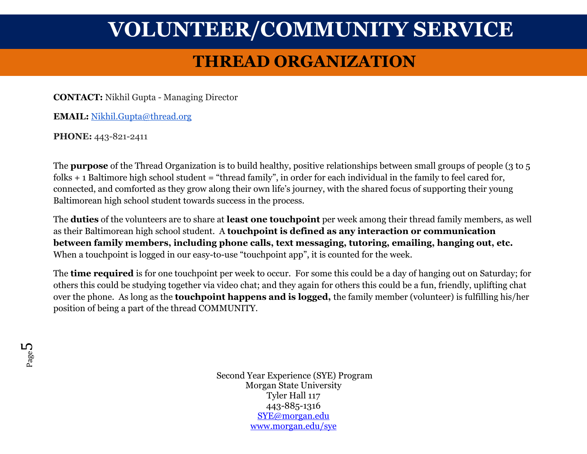## **THREAD ORGANIZATION**

**CONTACT:** Nikhil Gupta - Managing Director

**EMAIL:** [Nikhil.Gupta@thread.org](mailto:Nikhil.Gupta@thread.org)

**PHONE:** 443-821-2411

The **purpose** of the Thread Organization is to build healthy, positive relationships between small groups of people (3 to 5 folks  $+$  1 Baltimore high school student = "thread family", in order for each individual in the family to feel cared for, connected, and comforted as they grow along their own life's journey, with the shared focus of supporting their young Baltimorean high school student towards success in the process.

The **duties** of the volunteers are to share at **least one touchpoint** per week among their thread family members, as well as their Baltimorean high school student. A **touchpoint is defined as any interaction or communication between family members, including phone calls, text messaging, tutoring, emailing, hanging out, etc.** When a touchpoint is logged in our easy-to-use "touchpoint app", it is counted for the week.

The **time required** is for one touchpoint per week to occur. For some this could be a day of hanging out on Saturday; for others this could be studying together via video chat; and they again for others this could be a fun, friendly, uplifting chat over the phone. As long as the **touchpoint happens and is logged,** the family member (volunteer) is fulfilling his/her position of being a part of the thread COMMUNITY.

Page L∩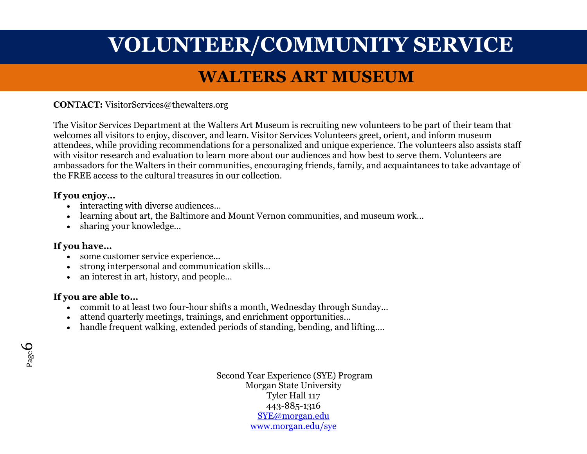### **WALTERS ART MUSEUM**

**CONTACT:** VisitorServices@thewalters.org

The Visitor Services Department at the Walters Art Museum is recruiting new volunteers to be part of their team that welcomes all visitors to enjoy, discover, and learn. Visitor Services Volunteers greet, orient, and inform museum attendees, while providing recommendations for a personalized and unique experience. The volunteers also assists staff with visitor research and evaluation to learn more about our audiences and how best to serve them. Volunteers are ambassadors for the Walters in their communities, encouraging friends, family, and acquaintances to take advantage of the FREE access to the cultural treasures in our collection.

#### **If you enjoy…**

- interacting with diverse audiences...
- learning about art, the Baltimore and Mount Vernon communities, and museum work…
- sharing your knowledge...

#### **If you have…**

- some customer service experience...
- strong interpersonal and communication skills…
- an interest in art, history, and people...

#### **If you are able to…**

- commit to at least two four-hour shifts a month, Wednesday through Sunday...
- attend quarterly meetings, trainings, and enrichment opportunities…
- handle frequent walking, extended periods of standing, bending, and lifting….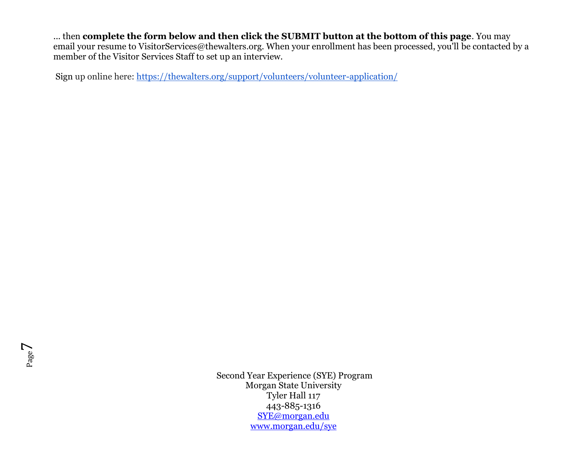... then **complete the form below and then click the SUBMIT button at the bottom of this page**. You may email your resume to VisitorServices@thewalters.org. When your enrollment has been processed, you'll be contacted by a member of the Visitor Services Staff to set up an interview.

Sign up online here: [https://thewalters.org/support/volunteers/volunteer-application/](https://urldefense.proofpoint.com/v2/url?u=https-3A__thewalters.org_support_volunteers_volunteer-2Dapplication_&d=DwMFAg&c=0CCt47_3RbNABITTvFzZbA&r=Kh6oQc7ktwI51VoCQq5UdfDp4n92QKZIDvkWYcK-CaE&m=FXEd6CE-LLLaUbdlzawc9y66HGsYZcvYogEyZDQ9c9Y&s=UPZJ2BJ9WWS3U-EV2-FQeNawEG--EMySucWWrmyiUGg&e=)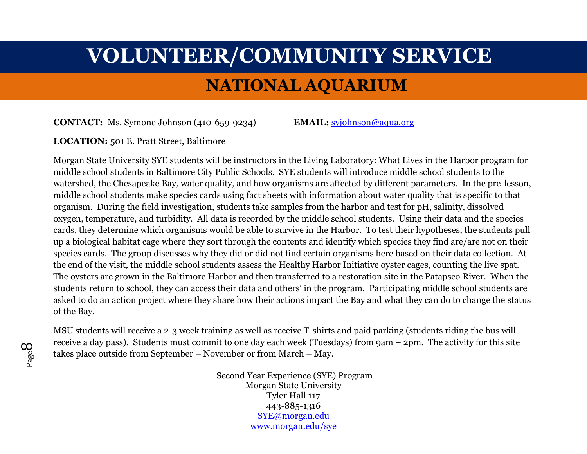# **VOLUNTEER/COMMUNITY SERVICE NATIONAL AQUARIUM**

**CONTACT:** Ms. Symone Johnson (410-659-9234) **EMAIL:** [syjohnson@aqua.org](mailto:syjohnson@aqua.org)

#### **LOCATION:** 501 E. Pratt Street, Baltimore

Morgan State University SYE students will be instructors in the Living Laboratory: What Lives in the Harbor program for middle school students in Baltimore City Public Schools. SYE students will introduce middle school students to the watershed, the Chesapeake Bay, water quality, and how organisms are affected by different parameters. In the pre-lesson, middle school students make species cards using fact sheets with information about water quality that is specific to that organism. During the field investigation, students take samples from the harbor and test for pH, salinity, dissolved oxygen, temperature, and turbidity. All data is recorded by the middle school students. Using their data and the species cards, they determine which organisms would be able to survive in the Harbor. To test their hypotheses, the students pull up a biological habitat cage where they sort through the contents and identify which species they find are/are not on their species cards. The group discusses why they did or did not find certain organisms here based on their data collection. At the end of the visit, the middle school students assess the Healthy Harbor Initiative oyster cages, counting the live spat. The oysters are grown in the Baltimore Harbor and then transferred to a restoration site in the Patapsco River. When the students return to school, they can access their data and others' in the program. Participating middle school students are asked to do an action project where they share how their actions impact the Bay and what they can do to change the status of the Bay.

MSU students will receive a 2-3 week training as well as receive T-shirts and paid parking (students riding the bus will receive a day pass). Students must commit to one day each week (Tuesdays) from 9am – 2pm. The activity for this site takes place outside from September – November or from March – May.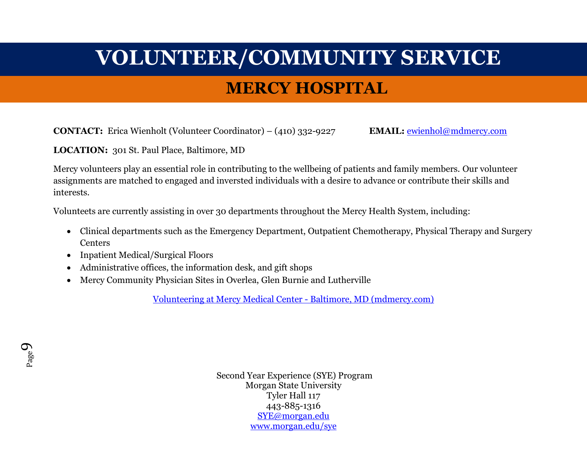# **VOLUNTEER/COMMUNITY SERVICE MERCY HOSPITAL**

**CONTACT:** Erica Wienholt (Volunteer Coordinator) – (410) 332-9227 **EMAIL:** [ewienhol@mdmercy.com](mailto:ewienhol@mdmercy.com)

**LOCATION:** 301 St. Paul Place, Baltimore, MD

Mercy volunteers play an essential role in contributing to the wellbeing of patients and family members. Our volunteer assignments are matched to engaged and inversted individuals with a desire to advance or contribute their skills and interests.

Volunteets are currently assisting in over 30 departments throughout the Mercy Health System, including:

- Clinical departments such as the Emergency Department, Outpatient Chemotherapy, Physical Therapy and Surgery **Centers**
- Inpatient Medical/Surgical Floors
- Administrative offices, the information desk, and gift shops
- Mercy Community Physician Sites in Overlea, Glen Burnie and Lutherville

[Volunteering at Mercy Medical Center -](https://mdmercy.com/careers/i-am-mercy/volunteering) Baltimore, MD (mdmercy.com)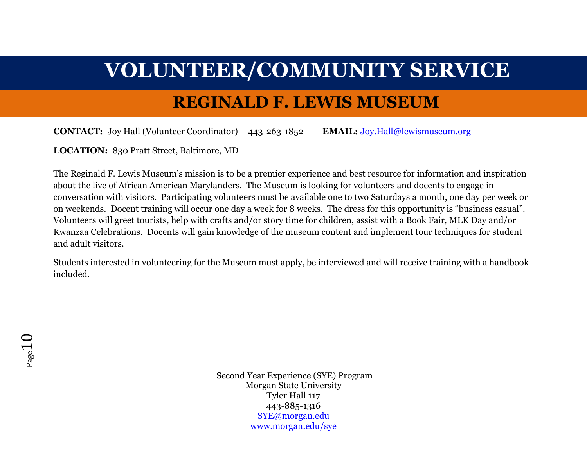### **REGINALD F. LEWIS MUSEUM**

**CONTACT:** Joy Hall (Volunteer Coordinator) – 443-263-1852 **EMAIL:** [Joy.Hall@lewismuseum.org](mailto:Joy.Hall@lewismuseum.org)

**LOCATION:** 830 Pratt Street, Baltimore, MD

The Reginald F. Lewis Museum's mission is to be a premier experience and best resource for information and inspiration about the live of African American Marylanders. The Museum is looking for volunteers and docents to engage in conversation with visitors. Participating volunteers must be available one to two Saturdays a month, one day per week or on weekends. Docent training will occur one day a week for 8 weeks. The dress for this opportunity is "business casual". Volunteers will greet tourists, help with crafts and/or story time for children, assist with a Book Fair, MLK Day and/or Kwanzaa Celebrations. Docents will gain knowledge of the museum content and implement tour techniques for student and adult visitors.

Students interested in volunteering for the Museum must apply, be interviewed and will receive training with a handbook included.

 $P$ age $\mathbf 1$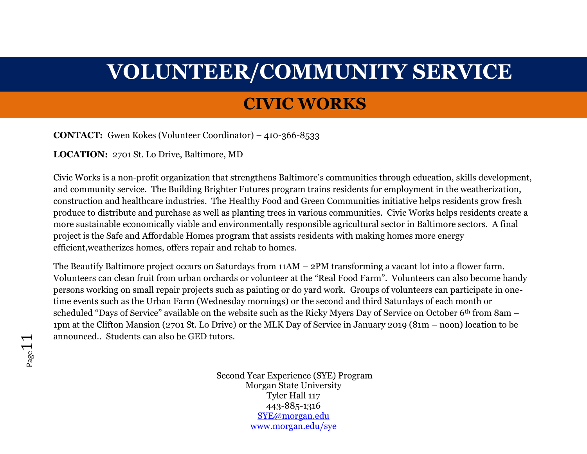### **CIVIC WORKS**

**CONTACT:** Gwen Kokes (Volunteer Coordinator) – 410-366-8533

**LOCATION:** 2701 St. Lo Drive, Baltimore, MD

Civic Works is a non-profit organization that strengthens Baltimore's communities through education, skills development, and community service. The Building Brighter Futures program trains residents for employment in the weatherization, construction and healthcare industries. The Healthy Food and Green Communities initiative helps residents grow fresh produce to distribute and purchase as well as planting trees in various communities. Civic Works helps residents create a more sustainable economically viable and environmentally responsible agricultural sector in Baltimore sectors. A final project is the Safe and Affordable Homes program that assists residents with making homes more energy efficient,weatherizes homes, offers repair and rehab to homes.

The Beautify Baltimore project occurs on Saturdays from 11AM – 2PM transforming a vacant lot into a flower farm. Volunteers can clean fruit from urban orchards or volunteer at the "Real Food Farm". Volunteers can also become handy persons working on small repair projects such as painting or do yard work. Groups of volunteers can participate in onetime events such as the Urban Farm (Wednesday mornings) or the second and third Saturdays of each month or scheduled "Days of Service" available on the website such as the Ricky Myers Day of Service on October 6<sup>th</sup> from 8am – 1pm at the Clifton Mansion (2701 St. Lo Drive) or the MLK Day of Service in January 2019 (81m – noon) location to be announced.. Students can also be GED tutors.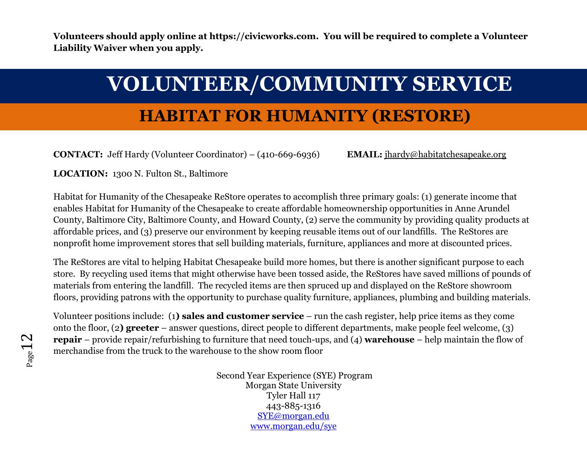**Volunteers should apply online at [https://civicworks.com.](https://civicworks.com/) You will be required to complete a Volunteer Liability Waiver when you apply.**

# **VOLUNTEER/COMMUNITY SERVICE**

## **HABITAT FOR HUMANITY (RESTORE)**

**CONTACT:** Jeff Hardy (Volunteer Coordinator) – (410-669-6936) **EMAIL:** [jhardy@habitatchesapeake.org](mailto:jhardy@habitatchesapeake.org)

**LOCATION:** 1300 N. Fulton St., Baltimore

Habitat for Humanity of the Chesapeake ReStore operates to accomplish three primary goals: (1) generate income that enables Habitat for Humanity of the Chesapeake to create affordable homeownership opportunities in Anne Arundel County, Baltimore City, Baltimore County, and Howard County, (2) serve the community by providing quality products at affordable prices, and (3) preserve our environment by keeping reusable items out of our landfills. The ReStores are nonprofit home improvement stores that sell building materials, furniture, appliances and more at discounted prices.

The ReStores are vital to helping Habitat Chesapeake build more homes, but there is another significant purpose to each store. By recycling used items that might otherwise have been tossed aside, the ReStores have saved millions of pounds of materials from entering the landfill. The recycled items are then spruced up and displayed on the ReStore showroom floors, providing patrons with the opportunity to purchase quality furniture, appliances, plumbing and building materials.

Volunteer positions include: (1**) sales and customer service** – run the cash register, help price items as they come onto the floor, (2**) greeter** – answer questions, direct people to different departments, make people feel welcome, (3) **repair** – provide repair/refurbishing to furniture that need touch-ups, and (4) **warehouse** – help maintain the flow of merchandise from the truck to the warehouse to the show room floor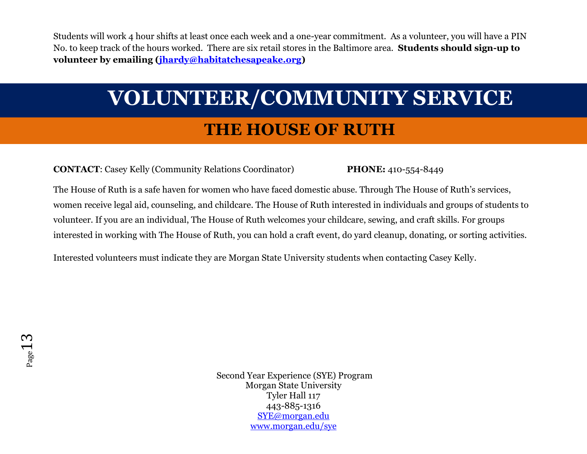Students will work 4 hour shifts at least once each week and a one-year commitment. As a volunteer, you will have a PIN No. to keep track of the hours worked. There are six retail stores in the Baltimore area. **Students should sign-up to volunteer by emailing [\(jhardy@habitatchesapeake.org\)](mailto:jhardy@habitatchesapeake.org)**

# **VOLUNTEER/COMMUNITY SERVICE THE HOUSE OF RUTH**

**CONTACT**: Casey Kelly (Community Relations Coordinator) **PHONE:** 410-554-8449

The House of Ruth is a safe haven for women who have faced domestic abuse. Through The House of Ruth's services, women receive legal aid, counseling, and childcare. The House of Ruth interested in individuals and groups of students to volunteer. If you are an individual, The House of Ruth welcomes your childcare, sewing, and craft skills. For groups interested in working with The House of Ruth, you can hold a craft event, do yard cleanup, donating, or sorting activities.

Interested volunteers must indicate they are Morgan State University students when contacting Casey Kelly.

Page<sup>1</sup>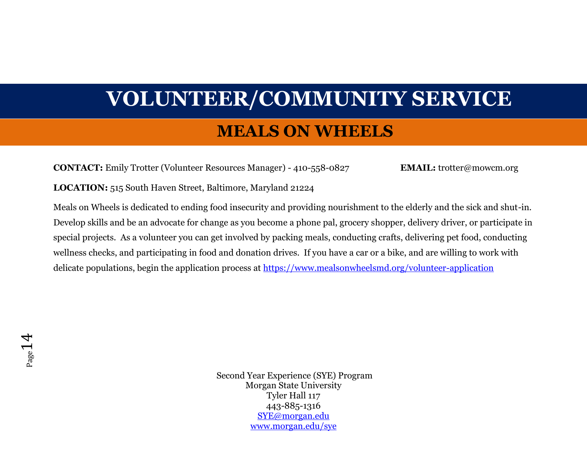#### **MEALS ON WHEELS**

**CONTACT:** Emily Trotter (Volunteer Resources Manager) - 410-558-0827 **EMAIL:** trotter@mowcm.org

**LOCATION:** 515 South Haven Street, Baltimore, Maryland 21224

Meals on Wheels is dedicated to ending food insecurity and providing nourishment to the elderly and the sick and shut-in. Develop skills and be an advocate for change as you become a phone pal, grocery shopper, delivery driver, or participate in special projects. As a volunteer you can get involved by packing meals, conducting crafts, delivering pet food, conducting wellness checks, and participating in food and donation drives. If you have a car or a bike, and are willing to work with delicate populations, begin the application process at<https://www.mealsonwheelsmd.org/volunteer-application>

Page 14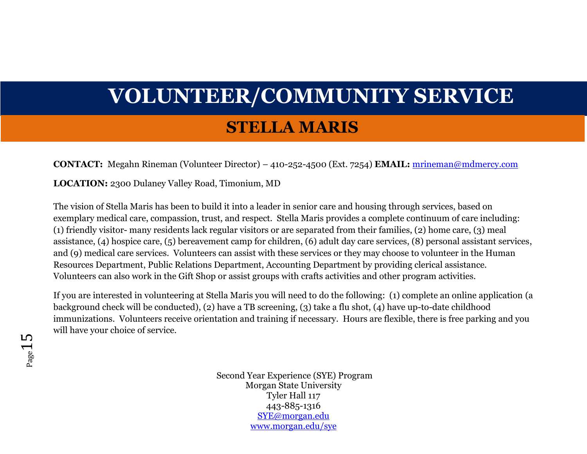### **STELLA MARIS**

**CONTACT:** Megahn Rineman (Volunteer Director) – 410-252-4500 (Ext. 7254) **EMAIL:** [mrineman@mdmercy.com](mailto:mrineman@mdmercy.com)

**LOCATION:** 2300 Dulaney Valley Road, Timonium, MD

The vision of Stella Maris has been to build it into a leader in senior care and housing through services, based on exemplary medical care, compassion, trust, and respect. Stella Maris provides a complete continuum of care including: (1) friendly visitor- many residents lack regular visitors or are separated from their families, (2) home care, (3) meal assistance, (4) hospice care, (5) bereavement camp for children, (6) adult day care services, (8) personal assistant services, and (9) medical care services. Volunteers can assist with these services or they may choose to volunteer in the Human Resources Department, Public Relations Department, Accounting Department by providing clerical assistance. Volunteers can also work in the Gift Shop or assist groups with crafts activities and other program activities.

If you are interested in volunteering at Stella Maris you will need to do the following: (1) complete an online application (a background check will be conducted), (2) have a TB screening, (3) take a flu shot, (4) have up-to-date childhood immunizations. Volunteers receive orientation and training if necessary. Hours are flexible, there is free parking and you will have your choice of service.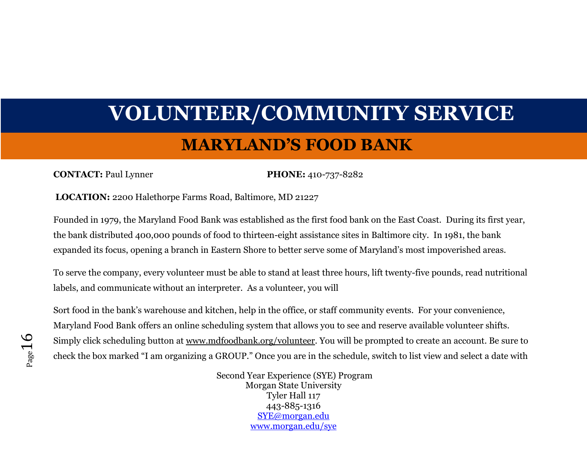# **VOLUNTEER/COMMUNITY SERVICE MARYLAND'S FOOD BANK**

#### **CONTACT:** Paul Lynner **PHONE:** 410-737-8282

**LOCATION:** 2200 Halethorpe Farms Road, Baltimore, MD 21227

Founded in 1979, the Maryland Food Bank was established as the first food bank on the East Coast. During its first year, the bank distributed 400,000 pounds of food to thirteen-eight assistance sites in Baltimore city. In 1981, the bank expanded its focus, opening a branch in Eastern Shore to better serve some of Maryland's most impoverished areas.

To serve the company, every volunteer must be able to stand at least three hours, lift twenty-five pounds, read nutritional labels, and communicate without an interpreter. As a volunteer, you will

Sort food in the bank's warehouse and kitchen, help in the office, or staff community events. For your convenience, Maryland Food Bank offers an online scheduling system that allows you to see and reserve available volunteer shifts. Simply click scheduling button at [www.mdfoodbank.org/volunteer.](https://urldefense.proofpoint.com/v2/url?u=http-3A__www.mdfoodbank.org_volunteer&d=DwMFAg&c=0CCt47_3RbNABITTvFzZbA&r=Kh6oQc7ktwI51VoCQq5UdfDp4n92QKZIDvkWYcK-CaE&m=v_3k52y1Bht_JGFReZHlIPPTEovesLVwsDpvW_v_4fk&s=4Cx9mvEvk7df3fNy5SfRWZf0dZhy9FBNmqNFeA4lknU&e=) You will be prompted to create an account. Be sure to check the box marked "I am organizing a GROUP." Once you are in the schedule, switch to list view and select a date with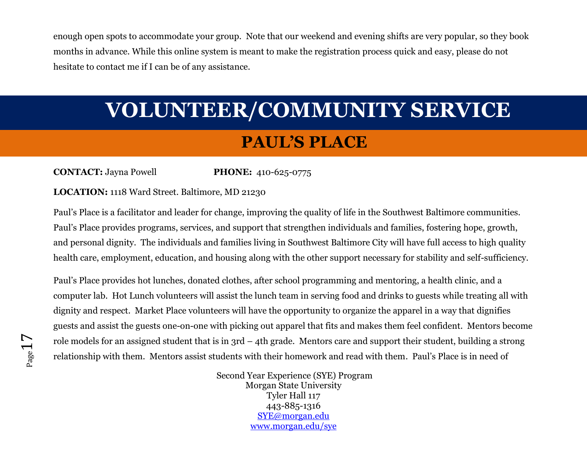enough open spots to accommodate your group. Note that our weekend and evening shifts are very popular, so they book months in advance. While this online system is meant to make the registration process quick and easy, please do not hesitate to contact me if I can be of any assistance.

# **VOLUNTEER/COMMUNITY SERVICE**

### **PAUL'S PLACE**

**CONTACT:** Jayna Powell **PHONE:** 410-625-0775

#### **LOCATION:** 1118 Ward Street. Baltimore, MD 21230

Paul's Place is a facilitator and leader for change, improving the quality of life in the Southwest Baltimore communities. Paul's Place provides programs, services, and support that strengthen individuals and families, fostering hope, growth, and personal dignity. The individuals and families living in Southwest Baltimore City will have full access to high quality health care, employment, education, and housing along with the other support necessary for stability and self-sufficiency.

Paul's Place provides hot lunches, donated clothes, after school programming and mentoring, a health clinic, and a computer lab. Hot Lunch volunteers will assist the lunch team in serving food and drinks to guests while treating all with dignity and respect. Market Place volunteers will have the opportunity to organize the apparel in a way that dignifies guests and assist the guests one-on-one with picking out apparel that fits and makes them feel confident. Mentors become role models for an assigned student that is in 3rd – 4th grade. Mentors care and support their student, building a strong relationship with them. Mentors assist students with their homework and read with them. Paul's Place is in need of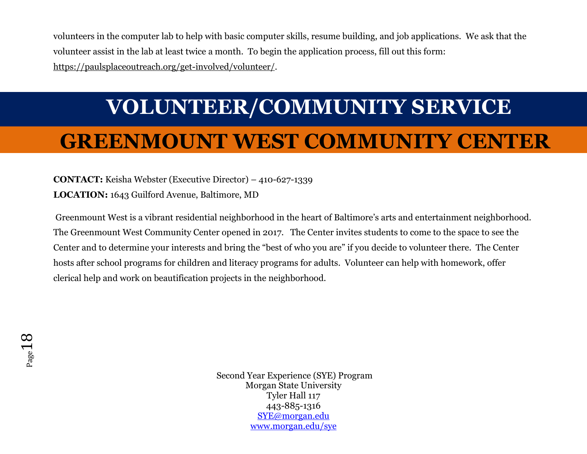volunteers in the computer lab to help with basic computer skills, resume building, and job applications. We ask that the volunteer assist in the lab at least twice a month. To begin the application process, fill out this form: [https://paulsplaceoutreach.org/get-involved/volunteer/.](https://paulsplaceoutreach.org/get-involved/volunteer/)

# **VOLUNTEER/COMMUNITY SERVICE**

## **GREENMOUNT WEST COMMUNITY CENTER**

#### **CONTACT:** Keisha Webster (Executive Director) – 410-627-1339 **LOCATION:** 1643 Guilford Avenue, Baltimore, MD

Greenmount West is a vibrant residential neighborhood in the heart of Baltimore's arts and entertainment neighborhood. The Greenmount West Community Center opened in 2017. The Center invites students to come to the space to see the Center and to determine your interests and bring the "best of who you are" if you decide to volunteer there. The Center hosts after school programs for children and literacy programs for adults. Volunteer can help with homework, offer clerical help and work on beautification projects in the neighborhood.

Page 18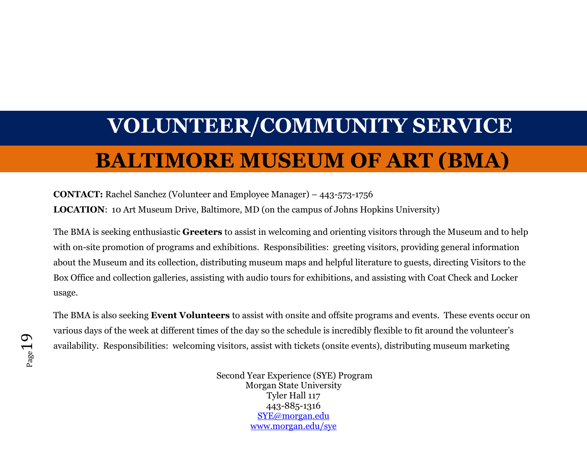## **BALTIMORE MUSEUM OF ART (BMA)**

**CONTACT:** Rachel Sanchez (Volunteer and Employee Manager) – 443-573-1756 **LOCATION**: 10 Art Museum Drive, Baltimore, MD (on the campus of Johns Hopkins University)

The BMA is seeking enthusiastic **Greeters** to assist in welcoming and orienting visitors through the Museum and to help with on-site promotion of programs and exhibitions. Responsibilities: greeting visitors, providing general information about the Museum and its collection, distributing museum maps and helpful literature to guests, directing Visitors to the Box Office and collection galleries, assisting with audio tours for exhibitions, and assisting with Coat Check and Locker usage.

The BMA is also seeking **Event Volunteers** to assist with onsite and offsite programs and events. These events occur on various days of the week at different times of the day so the schedule is incredibly flexible to fit around the volunteer's availability. Responsibilities: welcoming visitors, assist with tickets (onsite events), distributing museum marketing